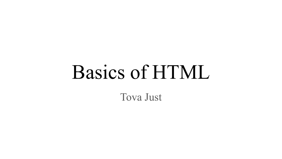# Basics of HTML Tova Just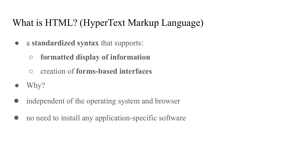## What is HTML? (HyperText Markup Language)

- a **standardized syntax** that supports:
	- **formatted display of information**
	- creation of **forms-based interfaces**
- Why?
- independent of the operating system and browser
- no need to install any application-specific software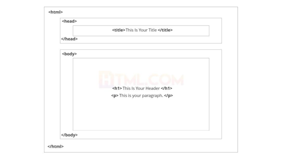| <head></head> |                                    |  |
|---------------|------------------------------------|--|
|               | <title>This Is Your Title </title> |  |
|               |                                    |  |
| <body></body> |                                    |  |
|               |                                    |  |
|               |                                    |  |
|               | <h1>This Is Your Header </h1>      |  |
|               | <p>This is your paragraph. </p>    |  |
|               |                                    |  |
|               |                                    |  |
|               |                                    |  |
|               |                                    |  |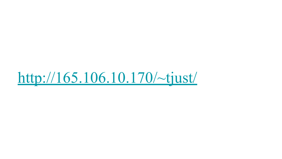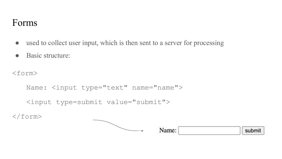### Forms

- used to collect user input, which is then sent to a server for processing
- Basic structure:

<form>

```
Name: \langleinput type="text" name="name">
```

```
<input type=submit value="submit">
```
 $\langle$ /form $\rangle$ 

| Name: | submit |
|-------|--------|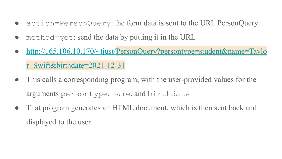- action=PersonQuery: the form data is sent to the URL PersonQuery
- $method = get$ : send the data by putting it in the URL
- [http://165.106.10.170/~tjust/PersonQuery?persontype=student&name=Taylo](http://165.106.10.170/~tjust/PersonQuery?persontype=student&name=Taylor+Swift&birthdate=2021-12-31) [r+Swift&birthdate=2021-12-31](http://165.106.10.170/~tjust/PersonQuery?persontype=student&name=Taylor+Swift&birthdate=2021-12-31)
- This calls a corresponding program, with the user-provided values for the arguments persontype, name, and birthdate
- That program generates an HTML document, which is then sent back and displayed to the user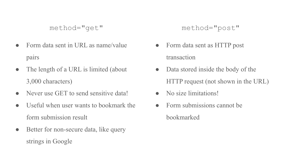```
method="get"
```
- Form data sent in URL as name/value pairs
- The length of a URL is limited (about 3,000 characters)
- Never use GET to send sensitive data!
- Useful when user wants to bookmark the form submission result
- Better for non-secure data, like query strings in Google

method="post"

- Form data sent as HTTP post transaction
- Data stored inside the body of the HTTP request (not shown in the URL)
- No size limitations!
- Form submissions cannot be bookmarked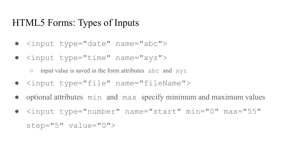#### HTML5 Forms: Types of Inputs

- <input type="date" name="abc">
- <input type="time" name="xyz">

 $\circ$  input value is saved in the form attributes abc and  $xyz$ 

- <input type="file" name="fileName">
- optional attributes min and max specify minimum and maximum values
- <input type="number" name="start" min="0" max="55" step="5" value="0">